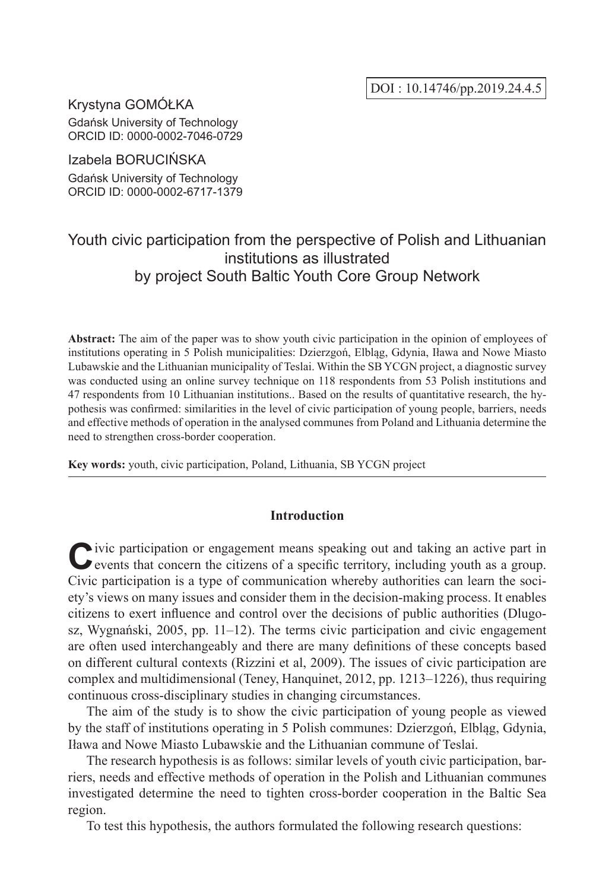Krystyna GOMÓŁKA Gdańsk University of Technology ORCID ID: 0000-0002-7046-0729

Izabela BORUCIŃSKA

Gdańsk University of Technology ORCID ID: 0000-0002-6717-1379

## Youth civic participation from the perspective of Polish and Lithuanian institutions as illustrated by project South Baltic Youth Core Group Network

**Abstract:** The aim of the paper was to show youth civic participation in the opinion of employees of institutions operating in 5 Polish municipalities: Dzierzgoń, Elbląg, Gdynia, Iława and Nowe Miasto Lubawskie and the Lithuanian municipality of Teslai. Within the SB YCGN project, a diagnostic survey was conducted using an online survey technique on 118 respondents from 53 Polish institutions and 47 respondents from 10 Lithuanian institutions.. Based on the results of quantitative research, the hypothesis was confirmed: similarities in the level of civic participation of young people, barriers, needs and effective methods of operation in the analysed communes from Poland and Lithuania determine the need to strengthen cross-border cooperation.

**Key words:** youth, civic participation, Poland, Lithuania, SB YCGN project

### **Introduction**

**C**ivic participation or engagement means speaking out and taking an active part in events that concern the citizens of a specific territory, including youth as a group. Civic participation is a type of communication whereby authorities can learn the society's views on many issues and consider them in the decision-making process. It enables citizens to exert influence and control over the decisions of public authorities (Dlugosz, Wygnański, 2005, pp. 11–12). The terms civic participation and civic engagement are often used interchangeably and there are many definitions of these concepts based on different cultural contexts (Rizzini et al, 2009). The issues of civic participation are complex and multidimensional (Teney, Hanquinet, 2012, pp. 1213–1226), thus requiring continuous cross-disciplinary studies in changing circumstances.

The aim of the study is to show the civic participation of young people as viewed by the staff of institutions operating in 5 Polish communes: Dzierzgoń, Elbląg, Gdynia, Iława and Nowe Miasto Lubawskie and the Lithuanian commune of Teslai.

The research hypothesis is as follows: similar levels of youth civic participation, barriers, needs and effective methods of operation in the Polish and Lithuanian communes investigated determine the need to tighten cross-border cooperation in the Baltic Sea region.

To test this hypothesis, the authors formulated the following research questions: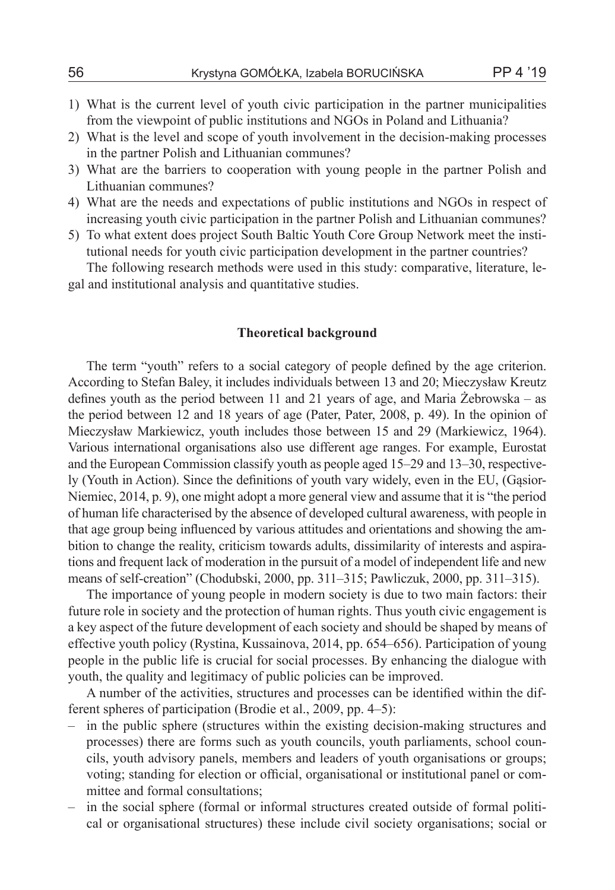- 1) What is the current level of youth civic participation in the partner municipalities from the viewpoint of public institutions and NGOs in Poland and Lithuania?
- 2) What is the level and scope of youth involvement in the decision-making processes in the partner Polish and Lithuanian communes?
- 3) What are the barriers to cooperation with young people in the partner Polish and Lithuanian communes?
- 4) What are the needs and expectations of public institutions and NGOs in respect of increasing youth civic participation in the partner Polish and Lithuanian communes?
- 5) To what extent does project South Baltic Youth Core Group Network meet the institutional needs for youth civic participation development in the partner countries?

The following research methods were used in this study: comparative, literature, legal and institutional analysis and quantitative studies.

### **Theoretical background**

The term "youth" refers to a social category of people defined by the age criterion. According to Stefan Baley, it includes individuals between 13 and 20; Mieczysław Kreutz defines youth as the period between 11 and 21 years of age, and Maria Żebrowska – as the period between 12 and 18 years of age (Pater, Pater, 2008, p. 49). In the opinion of Mieczysław Markiewicz, youth includes those between 15 and 29 (Markiewicz, 1964). Various international organisations also use different age ranges. For example, Eurostat and the European Commission classify youth as people aged 15–29 and 13–30, respectively (Youth in Action). Since the definitions of youth vary widely, even in the EU, (Gąsior-Niemiec, 2014, p. 9), one might adopt a more general view and assume that it is "the period of human life characterised by the absence of developed cultural awareness, with people in that age group being influenced by various attitudes and orientations and showing the ambition to change the reality, criticism towards adults, dissimilarity of interests and aspirations and frequent lack of moderation in the pursuit of a model of independent life and new means of self-creation" (Chodubski, 2000, pp. 311–315; Pawliczuk, 2000, pp. 311–315).

The importance of young people in modern society is due to two main factors: their future role in society and the protection of human rights. Thus youth civic engagement is a key aspect of the future development of each society and should be shaped by means of effective youth policy (Rystina, Kussainova, 2014, pp. 654–656). Participation of young people in the public life is crucial for social processes. By enhancing the dialogue with youth, the quality and legitimacy of public policies can be improved.

A number of the activities, structures and processes can be identified within the different spheres of participation (Brodie et al., 2009, pp. 4–5):

- in the public sphere (structures within the existing decision-making structures and processes) there are forms such as youth councils, youth parliaments, school councils, youth advisory panels, members and leaders of youth organisations or groups; voting; standing for election or official, organisational or institutional panel or committee and formal consultations;
- in the social sphere (formal or informal structures created outside of formal political or organisational structures) these include civil society organisations; social or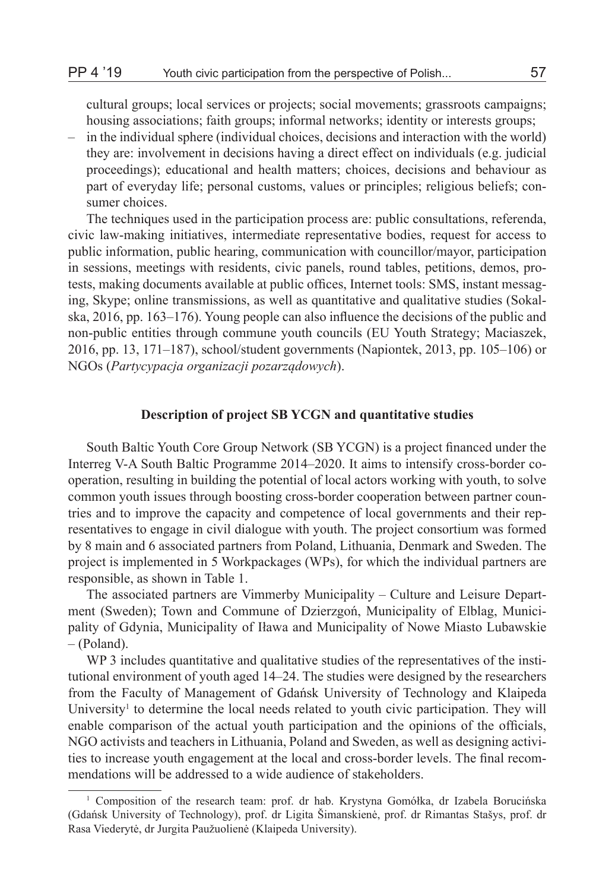cultural groups; local services or projects; social movements; grassroots campaigns; housing associations; faith groups; informal networks; identity or interests groups;

– in the individual sphere (individual choices, decisions and interaction with the world) they are: involvement in decisions having a direct effect on individuals (e.g. judicial proceedings); educational and health matters; choices, decisions and behaviour as part of everyday life; personal customs, values or principles; religious beliefs; consumer choices.

The techniques used in the participation process are: public consultations, referenda, civic law-making initiatives, intermediate representative bodies, request for access to public information, public hearing, communication with councillor/mayor, participation in sessions, meetings with residents, civic panels, round tables, petitions, demos, protests, making documents available at public offices, Internet tools: SMS, instant messaging, Skype; online transmissions, as well as quantitative and qualitative studies (Sokalska, 2016, pp. 163–176). Young people can also influence the decisions of the public and non-public entities through commune youth councils (EU Youth Strategy; Maciaszek, 2016, pp. 13, 171–187), school/student governments (Napiontek, 2013, pp. 105–106) or NGOs (*Partycypacja organizacji pozarządowych*).

### **Description of project SB YCGN and quantitative studies**

South Baltic Youth Core Group Network (SB YCGN) is a project financed under the Interreg V-A South Baltic Programme 2014–2020. It aims to intensify cross-border cooperation, resulting in building the potential of local actors working with youth, to solve common youth issues through boosting cross-border cooperation between partner countries and to improve the capacity and competence of local governments and their representatives to engage in civil dialogue with youth. The project consortium was formed by 8 main and 6 associated partners from Poland, Lithuania, Denmark and Sweden. The project is implemented in 5 Workpackages (WPs), for which the individual partners are responsible, as shown in Table 1.

The associated partners are Vimmerby Municipality – Culture and Leisure Department (Sweden); Town and Commune of Dzierzgoń, Municipality of Elblag, Municipality of Gdynia, Municipality of Iława and Municipality of Nowe Miasto Lubawskie – (Poland).

WP 3 includes quantitative and qualitative studies of the representatives of the institutional environment of youth aged 14–24. The studies were designed by the researchers from the Faculty of Management of Gdańsk University of Technology and Klaipeda University<sup>1</sup> to determine the local needs related to youth civic participation. They will enable comparison of the actual youth participation and the opinions of the officials, NGO activists and teachers in Lithuania, Poland and Sweden, as well as designing activities to increase youth engagement at the local and cross-border levels. The final recommendations will be addressed to a wide audience of stakeholders.

<sup>1</sup> Composition of the research team: prof. dr hab. Krystyna Gomółka, dr Izabela Borucińska (Gdańsk University of Technology), prof. dr Ligita Šimanskienė, prof. dr Rimantas Stašys, prof. dr Rasa Viederytė, dr Jurgita Paužuolienė (Klaipeda University).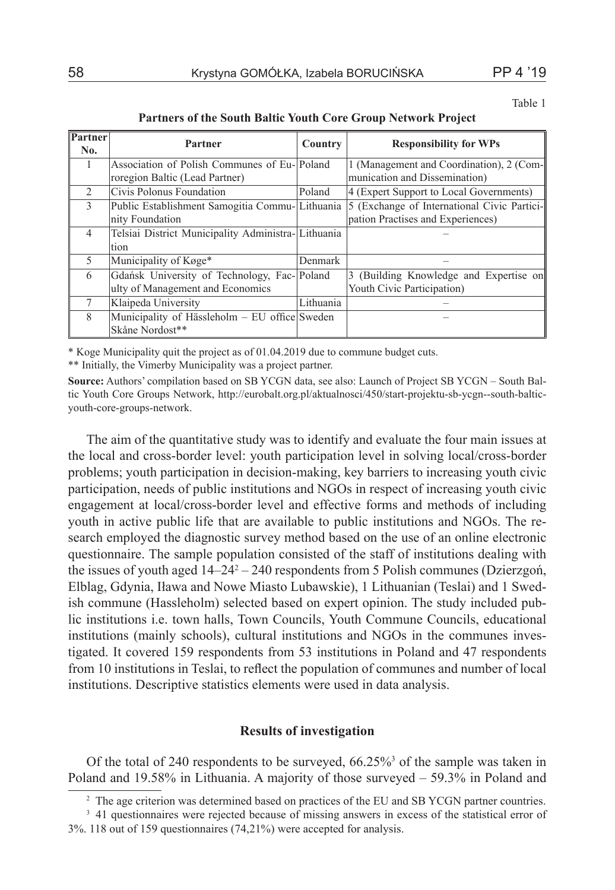| Partner<br>No. | Partner                                            | <b>Country</b> | <b>Responsibility for WPs</b>               |
|----------------|----------------------------------------------------|----------------|---------------------------------------------|
|                | Association of Polish Communes of Eu-Poland        |                | 1 (Management and Coordination), 2 (Com-    |
|                | roregion Baltic (Lead Partner)                     |                | munication and Dissemination)               |
| $\mathfrak{D}$ | Civis Polonus Foundation                           | Poland         | 4 (Expert Support to Local Governments)     |
| 3              | Public Establishment Samogitia Commu-Lithuania     |                | 5 (Exchange of International Civic Partici- |
|                | nity Foundation                                    |                | pation Practises and Experiences)           |
| 4              | Telsiai District Municipality Administra-Lithuania |                |                                             |
|                | tion                                               |                |                                             |
| $\varsigma$    | Municipality of Køge*                              | Denmark        |                                             |
| 6              | Gdańsk University of Technology, Fac-Poland        |                | 3 (Building Knowledge and Expertise on      |
|                | ulty of Management and Economics                   |                | Youth Civic Participation)                  |
| 7              | Klaipeda University                                | Lithuania      |                                             |
| 8              | Municipality of Hässleholm – EU office Sweden      |                |                                             |
|                | Skåne Nordost**                                    |                |                                             |

**Partners of the South Baltic Youth Core Group Network Project**

\* Koge Municipality quit the project as of 01.04.2019 due to commune budget cuts.

\*\* Initially, the Vimerby Municipality was a project partner.

**Source:** Authors' compilation based on SB YCGN data, see also: Launch of Project SB YCGN – South Baltic Youth Core Groups Network, http://eurobalt.org.pl/aktualnosci/450/start-projektu-sb-ycgn--south-balticyouth-core-groups-network.

The aim of the quantitative study was to identify and evaluate the four main issues at the local and cross-border level: youth participation level in solving local/cross-border problems; youth participation in decision-making, key barriers to increasing youth civic participation, needs of public institutions and NGOs in respect of increasing youth civic engagement at local/cross-border level and effective forms and methods of including youth in active public life that are available to public institutions and NGOs. The research employed the diagnostic survey method based on the use of an online electronic questionnaire. The sample population consisted of the staff of institutions dealing with the issues of youth aged  $14-24^2-240$  respondents from 5 Polish communes (Dzierzgoń, Elblag, Gdynia, Iława and Nowe Miasto Lubawskie), 1 Lithuanian (Teslai) and 1 Swedish commune (Hassleholm) selected based on expert opinion. The study included public institutions i.e. town halls, Town Councils, Youth Commune Councils, educational institutions (mainly schools), cultural institutions and NGOs in the communes investigated. It covered 159 respondents from 53 institutions in Poland and 47 respondents from 10 institutions in Teslai, to reflect the population of communes and number of local institutions. Descriptive statistics elements were used in data analysis.

## **Results of investigation**

Of the total of 240 respondents to be surveyed, 66.25%<sup>3</sup> of the sample was taken in Poland and 19.58% in Lithuania. A majority of those surveyed – 59.3% in Poland and

<sup>&</sup>lt;sup>2</sup> The age criterion was determined based on practices of the EU and SB YCGN partner countries.

<sup>&</sup>lt;sup>3</sup> 41 questionnaires were rejected because of missing answers in excess of the statistical error of 3%. 118 out of 159 questionnaires (74,21%) were accepted for analysis.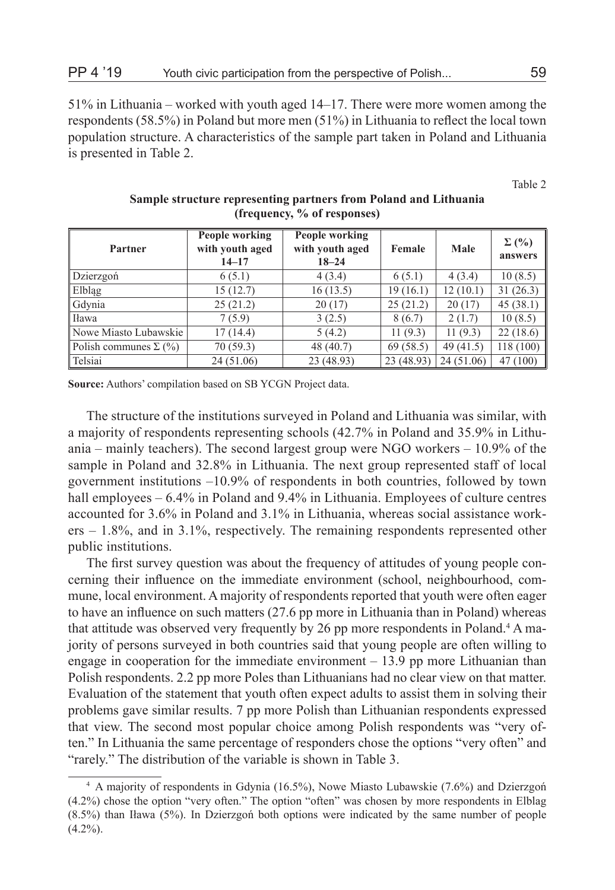51% in Lithuania – worked with youth aged 14–17. There were more women among the respondents (58.5%) in Poland but more men (51%) in Lithuania to reflect the local town population structure. A characteristics of the sample part taken in Poland and Lithuania is presented in Table 2.

Table 2

| Partner                      | People working<br>with youth aged<br>$14 - 17$ | People working<br>with youth aged<br>$18 - 24$ | Female     | Male       | $\Sigma(%)$<br>answers |
|------------------------------|------------------------------------------------|------------------------------------------------|------------|------------|------------------------|
| Dzierzgoń                    | 6(5.1)                                         | 4(3.4)                                         | 6(5.1)     | 4(3.4)     | 10(8.5)                |
| <b>Elbląg</b>                | 15(12.7)                                       | 16(13.5)                                       | 19(16.1)   | 12(10.1)   | 31(26.3)               |
| Gdynia                       | 25(21.2)                                       | 20(17)                                         | 25(21.2)   | 20(17)     | 45(38.1)               |
| Hawa                         | 7(5.9)                                         | 3(2.5)                                         | 8(6.7)     | 2(1.7)     | 10(8.5)                |
| Nowe Miasto Lubawskie        | 17(14.4)                                       | 5(4.2)                                         | 11(9.3)    | 11(9.3)    | 22(18.6)               |
| Polish communes $\Sigma$ (%) | 70(59.3)                                       | 48(40.7)                                       | 69(58.5)   | 49(41.5)   | 118(100)               |
| Telsiai                      | 24(51.06)                                      | 23 (48.93)                                     | 23 (48.93) | 24 (51.06) | 47 (100)               |

### **Sample structure representing partners from Poland and Lithuania (frequency, % of responses)**

**Source:** Authors' compilation based on SB YCGN Project data.

The structure of the institutions surveyed in Poland and Lithuania was similar, with a majority of respondents representing schools (42.7% in Poland and 35.9% in Lithuania – mainly teachers). The second largest group were NGO workers – 10.9% of the sample in Poland and 32.8% in Lithuania. The next group represented staff of local government institutions –10.9% of respondents in both countries, followed by town hall employees – 6.4% in Poland and 9.4% in Lithuania. Employees of culture centres accounted for 3.6% in Poland and 3.1% in Lithuania, whereas social assistance workers – 1.8%, and in 3.1%, respectively. The remaining respondents represented other public institutions.

The first survey question was about the frequency of attitudes of young people concerning their influence on the immediate environment (school, neighbourhood, commune, local environment. A majority of respondents reported that youth were often eager to have an influence on such matters (27.6 pp more in Lithuania than in Poland) whereas that attitude was observed very frequently by 26 pp more respondents in Poland.<sup>4</sup> A majority of persons surveyed in both countries said that young people are often willing to engage in cooperation for the immediate environment  $-13.9$  pp more Lithuanian than Polish respondents. 2.2 pp more Poles than Lithuanians had no clear view on that matter. Evaluation of the statement that youth often expect adults to assist them in solving their problems gave similar results. 7 pp more Polish than Lithuanian respondents expressed that view. The second most popular choice among Polish respondents was "very often." In Lithuania the same percentage of responders chose the options "very often" and "rarely." The distribution of the variable is shown in Table 3.

<sup>4</sup> A majority of respondents in Gdynia (16.5%), Nowe Miasto Lubawskie (7.6%) and Dzierzgoń (4.2%) chose the option "very often." The option "often" was chosen by more respondents in Elblag (8.5%) than Iława (5%). In Dzierzgoń both options were indicated by the same number of people  $(4.2\%)$ .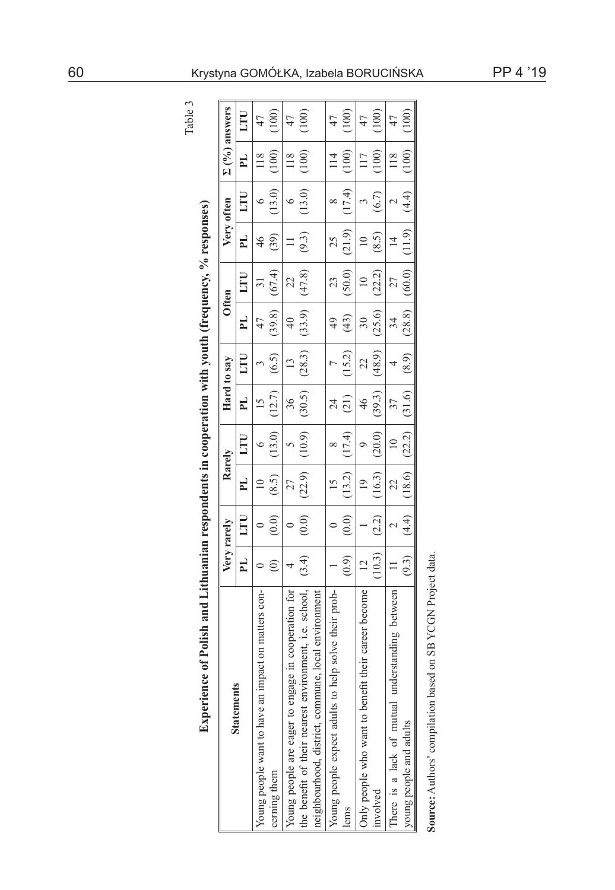| (21.9)<br>(9.3)<br>(8.5)<br>FL.<br>25<br>(39)<br>$\approx$<br>$\overline{4}$<br>(47.8)<br>(50.0)<br>(67.4)<br>(22.2)<br>LTU<br>22<br>$\equiv$<br>23<br>(25.6)<br>(33.9)<br>(39.8)<br>$\frac{1}{2}$<br>(43)<br>FL.<br>$\approx$<br>34<br>47<br>$\frac{1}{4}$<br>(28.3)<br>(48.9)<br>(15.2)<br>(6.5)<br>LTU<br>22<br>$\mathbf{r}$<br>(30.5)<br>(39.3)<br>(12.7)<br><b>H</b><br>36<br>(21)<br>$\frac{4}{6}$<br>(10.9)<br>(17.4)<br>(13.0)<br>(20.0)<br>LTU<br>$\approx$<br>(22.9)<br>(13.2)<br>(16.3)<br>PL.<br>(8.5)<br>$\overline{19}$<br>22<br>(2.2)<br>(0.0)<br>(0.0)<br>$\overset{\odot}{\odot}$<br>E<br>(10.3)<br>(0.9)<br>(3.4)<br>FL.<br>$\overline{c}$<br>ව<br>Young people are eager to engage in cooperation for<br>the benefit of their nearest environment, i.e. school,<br>Young people expect adults to help solve their prob-<br>their career become<br>Young people want to have an impact on matters con-<br>There is a lack of mutual understanding between<br>neighbourhood, district, commune, local environment<br>Only people who want to benefit<br>cerning them<br>involved<br>lems | Very rarely<br><b>Statements</b> |        | Rarely |        | Hard to say |        | Often  |        | Very often |                | $\Sigma(0/6)$ answers |
|-----------------------------------------------------------------------------------------------------------------------------------------------------------------------------------------------------------------------------------------------------------------------------------------------------------------------------------------------------------------------------------------------------------------------------------------------------------------------------------------------------------------------------------------------------------------------------------------------------------------------------------------------------------------------------------------------------------------------------------------------------------------------------------------------------------------------------------------------------------------------------------------------------------------------------------------------------------------------------------------------------------------------------------------------------------------------------------------------------------|----------------------------------|--------|--------|--------|-------------|--------|--------|--------|------------|----------------|-----------------------|
|                                                                                                                                                                                                                                                                                                                                                                                                                                                                                                                                                                                                                                                                                                                                                                                                                                                                                                                                                                                                                                                                                                           |                                  |        |        |        |             |        |        |        | E          | PL.            | 口口                    |
|                                                                                                                                                                                                                                                                                                                                                                                                                                                                                                                                                                                                                                                                                                                                                                                                                                                                                                                                                                                                                                                                                                           |                                  |        |        |        |             |        |        |        |            | $\frac{8}{18}$ | 47                    |
|                                                                                                                                                                                                                                                                                                                                                                                                                                                                                                                                                                                                                                                                                                                                                                                                                                                                                                                                                                                                                                                                                                           |                                  |        |        |        |             |        |        |        | (13.0)     | (100)          |                       |
|                                                                                                                                                                                                                                                                                                                                                                                                                                                                                                                                                                                                                                                                                                                                                                                                                                                                                                                                                                                                                                                                                                           |                                  |        |        |        |             |        |        |        | ٥          | 118            | 47                    |
|                                                                                                                                                                                                                                                                                                                                                                                                                                                                                                                                                                                                                                                                                                                                                                                                                                                                                                                                                                                                                                                                                                           |                                  |        |        |        |             |        |        |        | (13.0)     | (100)          | (100)                 |
|                                                                                                                                                                                                                                                                                                                                                                                                                                                                                                                                                                                                                                                                                                                                                                                                                                                                                                                                                                                                                                                                                                           |                                  |        |        |        |             |        |        |        |            |                |                       |
|                                                                                                                                                                                                                                                                                                                                                                                                                                                                                                                                                                                                                                                                                                                                                                                                                                                                                                                                                                                                                                                                                                           |                                  |        |        |        |             |        |        |        |            | $\frac{1}{4}$  | 47                    |
|                                                                                                                                                                                                                                                                                                                                                                                                                                                                                                                                                                                                                                                                                                                                                                                                                                                                                                                                                                                                                                                                                                           |                                  |        |        |        |             |        |        |        | (17.4)     | (100)          |                       |
|                                                                                                                                                                                                                                                                                                                                                                                                                                                                                                                                                                                                                                                                                                                                                                                                                                                                                                                                                                                                                                                                                                           |                                  |        |        |        |             |        |        |        |            |                | 47                    |
|                                                                                                                                                                                                                                                                                                                                                                                                                                                                                                                                                                                                                                                                                                                                                                                                                                                                                                                                                                                                                                                                                                           |                                  |        |        |        |             |        |        |        | (6.7)      | (100)          | (100)                 |
|                                                                                                                                                                                                                                                                                                                                                                                                                                                                                                                                                                                                                                                                                                                                                                                                                                                                                                                                                                                                                                                                                                           |                                  |        |        |        |             |        |        |        |            | 118            | 47                    |
| young people and adults                                                                                                                                                                                                                                                                                                                                                                                                                                                                                                                                                                                                                                                                                                                                                                                                                                                                                                                                                                                                                                                                                   | (4.4)<br>(9.3)                   | (18.6) | (22.2) | (31.6) | (8.9)       | (28.8) | (60.0) | (11.9) | (4.4)      | (100)          |                       |

# 60 Krystyna GOMÓŁKA, Izabela BORUCIŃSKA PP 4 '19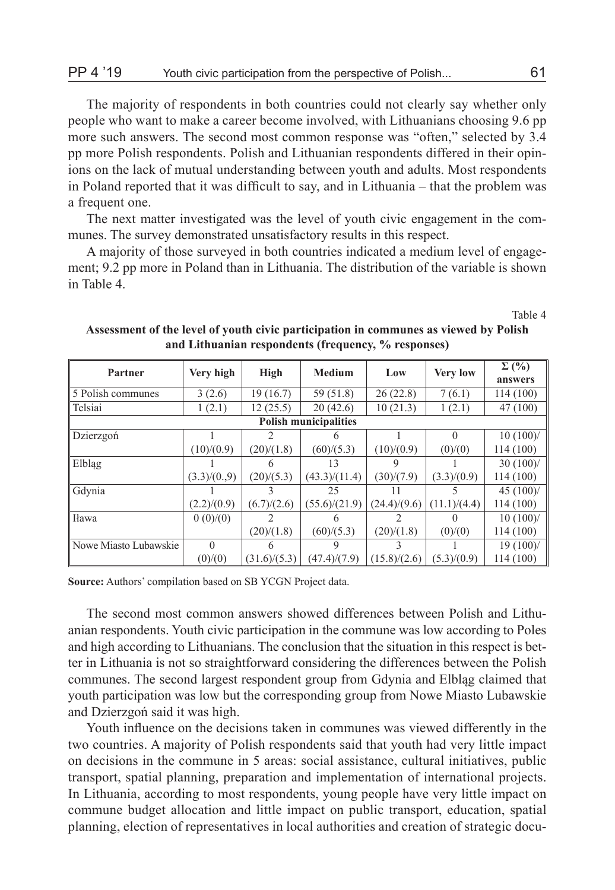The majority of respondents in both countries could not clearly say whether only people who want to make a career become involved, with Lithuanians choosing 9.6 pp more such answers. The second most common response was "often," selected by 3.4 pp more Polish respondents. Polish and Lithuanian respondents differed in their opinions on the lack of mutual understanding between youth and adults. Most respondents in Poland reported that it was difficult to say, and in Lithuania – that the problem was a frequent one.

The next matter investigated was the level of youth civic engagement in the communes. The survey demonstrated unsatisfactory results in this respect.

A majority of those surveyed in both countries indicated a medium level of engagement; 9.2 pp more in Poland than in Lithuania. The distribution of the variable is shown in Table 4.

Table 4

| Partner               | Very high   | High         | <b>Medium</b>                | Low          | <b>Very low</b> | $\Sigma($ %) |
|-----------------------|-------------|--------------|------------------------------|--------------|-----------------|--------------|
|                       |             |              |                              |              |                 | answers      |
| 5 Polish communes     | 3(2.6)      | 19(16.7)     | 59 (51.8)                    | 26(22.8)     | 7(6.1)          | 114 (100)    |
| Telsiai               | 1(2.1)      | 12(25.5)     | 20(42.6)                     | 10(21.3)     | 1(2.1)          | 47 (100)     |
|                       |             |              | <b>Polish municipalities</b> |              |                 |              |
| Dzierzgoń             |             | 2            |                              |              | $\Omega$        | $10(100)$ /  |
|                       | (10)/(0.9)  | (20)/(1.8)   | (60)/(5.3)                   | (10)/(0.9)   | (0)/(0)         | 114(100)     |
| Elblag                |             | h            | 13                           |              |                 | 30(100)/     |
|                       | (3.3)/(0.9) | (20)/(5.3)   | (43.3)/(11.4)                | (30)/(7.9)   | (3.3)/(0.9)     | 114(100)     |
| Gdynia                |             |              | 25                           | 11           |                 | 45 $(100)$ / |
|                       | (2.2)/(0.9) | (6.7)/(2.6)  | (55.6)/(21.9)                | (24.4)/(9.6) | (11.1)/(4.4)    | 114(100)     |
| Iława                 | 0(0)/(0)    |              |                              |              |                 | $10(100)$ /  |
|                       |             | (20)/(1.8)   | (60)/(5.3)                   | (20)/(1.8)   | (0)/(0)         | 114(100)     |
| Nowe Miasto Lubawskie | $\theta$    | h            | 9                            |              |                 | $19(100)$ /  |
|                       | (0)/(0)     | (31.6)/(5.3) | (47.4)/(7.9)                 | (15.8)/(2.6) | (5.3)/(0.9)     | 114 (100)    |

**Assessment of the level of youth civic participation in communes as viewed by Polish and Lithuanian respondents (frequency, % responses)**

**Source:** Authors' compilation based on SB YCGN Project data.

The second most common answers showed differences between Polish and Lithuanian respondents. Youth civic participation in the commune was low according to Poles and high according to Lithuanians. The conclusion that the situation in this respect is better in Lithuania is not so straightforward considering the differences between the Polish communes. The second largest respondent group from Gdynia and Elbląg claimed that youth participation was low but the corresponding group from Nowe Miasto Lubawskie and Dzierzgoń said it was high.

Youth influence on the decisions taken in communes was viewed differently in the two countries. A majority of Polish respondents said that youth had very little impact on decisions in the commune in 5 areas: social assistance, cultural initiatives, public transport, spatial planning, preparation and implementation of international projects. In Lithuania, according to most respondents, young people have very little impact on commune budget allocation and little impact on public transport, education, spatial planning, election of representatives in local authorities and creation of strategic docu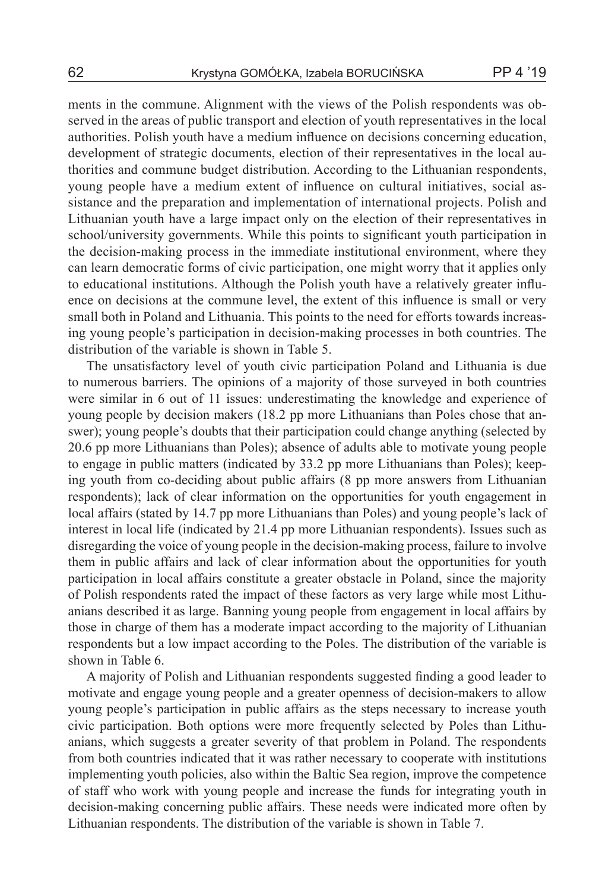ments in the commune. Alignment with the views of the Polish respondents was observed in the areas of public transport and election of youth representatives in the local authorities. Polish youth have a medium influence on decisions concerning education, development of strategic documents, election of their representatives in the local authorities and commune budget distribution. According to the Lithuanian respondents, young people have a medium extent of influence on cultural initiatives, social assistance and the preparation and implementation of international projects. Polish and Lithuanian youth have a large impact only on the election of their representatives in school/university governments. While this points to significant youth participation in the decision-making process in the immediate institutional environment, where they can learn democratic forms of civic participation, one might worry that it applies only to educational institutions. Although the Polish youth have a relatively greater influence on decisions at the commune level, the extent of this influence is small or very small both in Poland and Lithuania. This points to the need for efforts towards increasing young people's participation in decision-making processes in both countries. The distribution of the variable is shown in Table 5.

The unsatisfactory level of youth civic participation Poland and Lithuania is due to numerous barriers. The opinions of a majority of those surveyed in both countries were similar in 6 out of 11 issues: underestimating the knowledge and experience of young people by decision makers (18.2 pp more Lithuanians than Poles chose that answer); young people's doubts that their participation could change anything (selected by 20.6 pp more Lithuanians than Poles); absence of adults able to motivate young people to engage in public matters (indicated by 33.2 pp more Lithuanians than Poles); keeping youth from co-deciding about public affairs (8 pp more answers from Lithuanian respondents); lack of clear information on the opportunities for youth engagement in local affairs (stated by 14.7 pp more Lithuanians than Poles) and young people's lack of interest in local life (indicated by 21.4 pp more Lithuanian respondents). Issues such as disregarding the voice of young people in the decision-making process, failure to involve them in public affairs and lack of clear information about the opportunities for youth participation in local affairs constitute a greater obstacle in Poland, since the majority of Polish respondents rated the impact of these factors as very large while most Lithuanians described it as large. Banning young people from engagement in local affairs by those in charge of them has a moderate impact according to the majority of Lithuanian respondents but a low impact according to the Poles. The distribution of the variable is shown in Table 6.

A majority of Polish and Lithuanian respondents suggested finding a good leader to motivate and engage young people and a greater openness of decision-makers to allow young people's participation in public affairs as the steps necessary to increase youth civic participation. Both options were more frequently selected by Poles than Lithuanians, which suggests a greater severity of that problem in Poland. The respondents from both countries indicated that it was rather necessary to cooperate with institutions implementing youth policies, also within the Baltic Sea region, improve the competence of staff who work with young people and increase the funds for integrating youth in decision-making concerning public affairs. These needs were indicated more often by Lithuanian respondents. The distribution of the variable is shown in Table 7.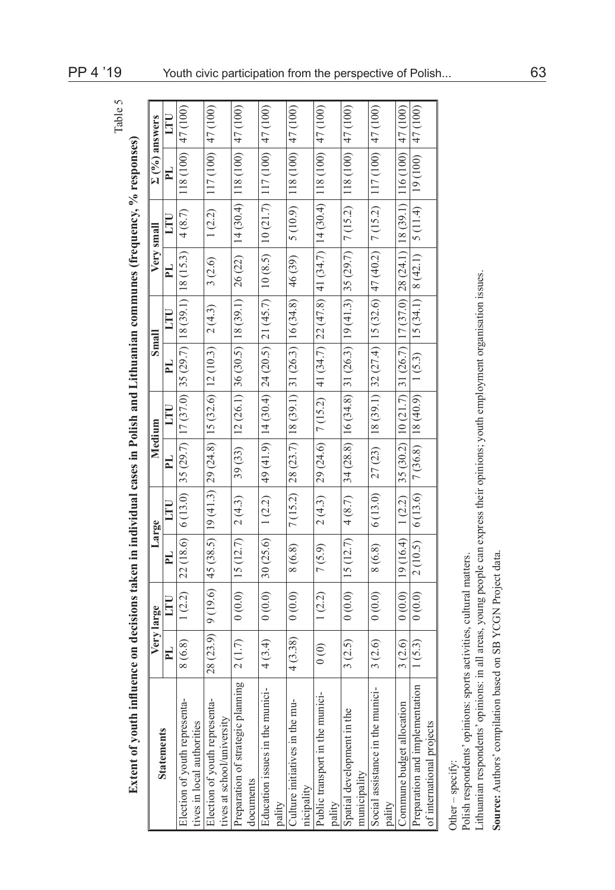|                                                                                                                                                                                         | Very large                           |        |                                                                                              | Large   |                                                                   | Medium | Small                                                                 |        |           | Very small           | $\Sigma(%)$ answers                                                                                                                                                                                                            |          |
|-----------------------------------------------------------------------------------------------------------------------------------------------------------------------------------------|--------------------------------------|--------|----------------------------------------------------------------------------------------------|---------|-------------------------------------------------------------------|--------|-----------------------------------------------------------------------|--------|-----------|----------------------|--------------------------------------------------------------------------------------------------------------------------------------------------------------------------------------------------------------------------------|----------|
| <b>Statements</b>                                                                                                                                                                       | <b>PL</b>                            | LTU    | PL                                                                                           | LTU     | PL                                                                | LTU    | <b>FI</b>                                                             | LTU    | <b>FI</b> | LTU                  | PL,                                                                                                                                                                                                                            | LTU      |
| Election of youth representa-<br>ives in local authorities                                                                                                                              | 8 (6.8)                              | 1(2.2) | 22 (18.6)                                                                                    | 6(13.0) |                                                                   |        | $ 35(29.7) 17(37.0) 35(29.7) 18(39.1) 18(15.3)$                       |        |           | 4(8.7)               | 118 (100)                                                                                                                                                                                                                      | 47 (100) |
| Election of youth representa-<br>ives at school/university                                                                                                                              | 28 (23.9)                            |        | $9(19.6)$   45 (38.5)   19 (41.3)   29 (24.8)   15 (32.6)   12 (10.3)                        |         |                                                                   |        |                                                                       | 2(4.3) | 3(2.6)    | 1(2.2)               | $ 117(100) $ 47(100)                                                                                                                                                                                                           |          |
| Preparation of strategic planning<br>documents                                                                                                                                          | 2(1.7)                               | (0.0)  | 15(12.7)                                                                                     | 2(4.3)  |                                                                   |        | 39 (33) $\left  12 \left( 26.1 \right) \right $ 36 (30.5)   18 (39.1) |        |           |                      | $26(22)$   14 (30.4)   118 (100)                                                                                                                                                                                               | 47 (100) |
| Education issues in the munici-<br>pality                                                                                                                                               | 4(3.4)                               | 0(0.0) | 30(25.6)                                                                                     | 1(2.2)  |                                                                   |        | $49(41.9)$   14 (30.4)   24 (20.5)   21 (45.7)                        |        |           |                      | $10(8.5)$   $10(21.7)$   $117(100)$                                                                                                                                                                                            | 47 (100) |
| Culture initiatives in the mu-<br>nicipality                                                                                                                                            | 4(3.38)                              | (0.0)0 | 8 (6.8)                                                                                      |         | $7(15.2)$   28 (23.7)   18 (39.1)   31 (26.3)   16 (34.8)         |        |                                                                       |        | 46 (39)   | 5(10.9)              | 118(100)                                                                                                                                                                                                                       | 47 (100) |
| Public transport in the munici-<br>pality                                                                                                                                               | $\begin{matrix} 0 \\ 0 \end{matrix}$ | 1(2.2) | 7(5.9)                                                                                       | 2(4.3)  |                                                                   |        |                                                                       |        |           |                      | $\mid$ 29 (24.6) $\mid$ 7 (15.2) $\mid$ 41 (34.7) $\mid$ 22 (47.8) $\mid$ 41 (34.7) $\mid$ 14 (30.4) $\mid$ 118 (100) $\mid$                                                                                                   | 47 (100) |
| Spatial development in the<br>municipality                                                                                                                                              | 3(2.5)                               | 0(0.0) | 15(12.7)                                                                                     |         |                                                                   |        |                                                                       |        |           |                      | $(200)$ $(27)$ $(31)$ $(25)$ $(25)$ $(25)$ $(25)$ $(25)$ $(25)$ $(25)$ $(25)$ $(25)$ $(25)$ $(25)$ $(25)$ $(25)$ $(25)$ $(25)$ $(25)$ $(25)$ $(25)$ $(25)$ $(25)$ $(25)$ $(25)$ $(25)$ $(25)$ $(25)$ $(25)$ $(25)$ $(25)$ $(2$ |          |
| Social assistance in the munici-<br>pality                                                                                                                                              | 3(2.6)                               | (0.0)0 | 8 (6.8)                                                                                      | 6(13.0) | 27 (23)                                                           |        | $\mid$ 18 (39.1) 32 (27.4) 15 (32.6) 47 (40.2)                        |        |           |                      | $7(15.2)$   117 (100)                                                                                                                                                                                                          | 47 (100) |
| Commune budget allocation                                                                                                                                                               | 3(2.6)                               | 0(0.0) | 19(16.4)                                                                                     | 1(2.2)  |                                                                   |        |                                                                       |        |           |                      | 35 (30.2)   10 (21.7)   31 (26.7)   17 (37.0)   28 (24.1)   18 (39.1)   116 (100)                                                                                                                                              | 47 (100) |
| Preparation and implementation<br>of international projects                                                                                                                             | 1(5.3)                               | 0(0.0) | 2(10.5)                                                                                      |         | $6(13.6)$   7 (36.8)   18 (40.9)   1 (5.3)   15 (34.1)   8 (42.1) |        |                                                                       |        |           | $5(11.4)$   19 (100) |                                                                                                                                                                                                                                | 47 (100) |
| Source: Authors' compilation based on SB YCGN Project data<br>Polish respondents' opinions: sports activities, cultural matters.<br>Lithuanian respondents' opinions:<br>Other-specify: |                                      |        | in all areas, young people can express their opinions; youth employment organisation issues. |         |                                                                   |        |                                                                       |        |           |                      |                                                                                                                                                                                                                                |          |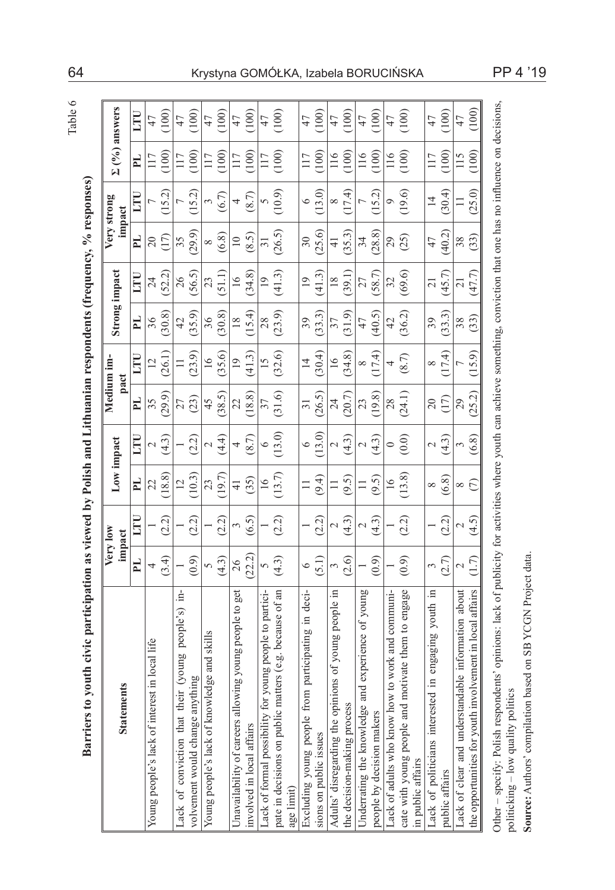|                                       | į<br>l                                   |
|---------------------------------------|------------------------------------------|
| ţ                                     |                                          |
|                                       | l<br>i                                   |
|                                       | i<br>í                                   |
|                                       |                                          |
| $\begin{array}{c} \hline \end{array}$ |                                          |
| ļ                                     | ֠                                        |
|                                       |                                          |
|                                       |                                          |
|                                       | í                                        |
|                                       |                                          |
|                                       | ļ<br>i                                   |
|                                       | l                                        |
|                                       | l                                        |
|                                       | i                                        |
|                                       | i<br>į<br><b>SPART</b><br>R <sub>a</sub> |
|                                       | Ì                                        |

|                                                                                      | Very low<br>impact |                 | Low impact          |                   |                | Medium im-<br>pact |                 | Strong impact   |                 | Very strong<br>impact | $\Sigma(%)$ answers |       |
|--------------------------------------------------------------------------------------|--------------------|-----------------|---------------------|-------------------|----------------|--------------------|-----------------|-----------------|-----------------|-----------------------|---------------------|-------|
| PL.                                                                                  |                    | ΠIJ             | PL <sub>1</sub>     | E                 | FL             | E                  | PL <sub>1</sub> | E               | PL              | ΓIJ                   | PL <sub></sub>      | E     |
| 4<br>local life<br>Young people's lack of interest in                                |                    |                 | 22                  | $\sim$            | 35             | $\overline{2}$     | 36              | $\overline{24}$ | $\overline{20}$ |                       | 117                 | 47    |
| (3.4)                                                                                |                    | (2.2)           | 18.8                | $\widetilde{A}$   | (29.9)         | (26.1)             | (30.8)          | (52.2)          | (17)            | 15.2                  | 100                 | (100) |
| Ξ.<br>people's)<br>Suno.<br>Lack of conviction that their $(y)$                      |                    |                 | $\overline{c}$      |                   | 27             | $\Box$             | $\overline{4}$  | 26              | 35              |                       | 117                 | 47    |
| (0.9)<br>volvement would change anything                                             |                    | (2.2)           | (0.3)               | (2.2)             | (23)           | (23.9)             | (35.9)          | (56.5)          | (29.9)          | (5.2)                 | 100                 | (100) |
| 5<br>and skills<br>Young people's lack of knowledge                                  |                    |                 | 23                  | $\sim$            | 45             | $\frac{6}{1}$      | 36              | 23              | $\infty$        | 3                     | 117                 | 47    |
| (4.3)                                                                                |                    | (2.2)           | 19.7                | $\frac{4}{4}$     | (38.5)         | (35.6)             | (30.8)          | (51.1)          | (6.8)           | (6.7)                 | 100                 | (100) |
| 26<br>get<br>young people to<br>Unavailability of careers allowing                   |                    | 3               | $\frac{1}{4}$       | 4                 | 22             | $\overline{19}$    | $\frac{8}{2}$   | $\overline{16}$ | $\overline{10}$ | 4                     | 117                 | 47    |
| (22.2)<br>involved in local affairs                                                  |                    | (6.5)           | (35)                | (8.7)             | (18.8)         | (41.3)             | (15.4)          | (34.8)          | (8.5)           | (8.7)                 | (100)               | (100) |
| 5<br>Lack of formal possibility for young people to partici-                         |                    |                 | $\geq$              | $\circ$           | 37             | $\overline{15}$    | 28              | $\overline{19}$ | 51              | 5                     | 117                 | 47    |
| (4.3)<br>(e.g. because of an<br>pate in decisions on public matters<br>age limit)    |                    | (2.2)           | (13.7)              | (13.0)            | (31.6)         | (32.6)             | (23.9)          | (41.3)          | (26.5)          | (10.9)                | (100)               | (100) |
| $\circ$<br>deci-<br>$\Xi$<br>Excluding young people from participating               |                    |                 |                     | $\circ$           | 31             | $\overline{4}$     | 39              | $\overline{19}$ | 30              | $\circ$               | 117                 | 47    |
| (5.1)<br>sions on public issues                                                      |                    | (2.2)           | (9.4)               | (13.0)            | (26.5)         | (30.4)             | (33.3)          | (41.3)          | (25.6)          | (13.0)                | (100)               | (100) |
| 3<br>people in<br>young<br>of<br>Adults' disregarding the opinions                   |                    | $\sim$          |                     | $\sim$            | 24             | $\overline{16}$    | 37              | $\frac{8}{2}$   | $\overline{4}$  | ∞                     | 116                 | 47    |
| (2.6)<br>he decision-making process                                                  |                    | (4.3)           | (9.5)               | (4.3)             | (20.7)         | (34.8)             | (31.9)          | (39.1)          | (35.3)          | (17.4)                | (100)               | (100) |
| xperience of young<br>Underrating the knowledge and e                                |                    | $\sim$          | 〓                   | $\sim$            | 23             | $\infty$           | 47              | 27              | 34              |                       | 116                 | 47    |
| (0.9)<br>people by decision makers                                                   |                    | (4.3)           | (9.5)               | (4.3)             | (19.8)         | (17.4)             | (40.5)          | (58.7)          | (28.8)          | (15.2)                | (100)               | (100) |
| Lack of adults who know how to work and communi-                                     |                    |                 | 16                  | $\circ$           | 28             | 4                  | 42              | 32              | 29              | $\circ$               | 116                 | 47    |
| (0.9)<br>ate them to engage<br>cate with young people and motiv<br>in public affairs |                    | (2.2)           | (13.8)              | (0.0)             | (24.1)         | (8.7)              | (36.2)          | (69.6)          | (25)            | (19.6)                | (100)               | (100) |
| 3<br>youth in<br>engaging<br>Lack of politicians interested in                       |                    |                 | ${}^{\circ}$        | $\mathcal{L}$     | $\overline{c}$ | $\infty$           | 39              | $\overline{21}$ | 47              | $\overline{14}$       | 117                 | 47    |
| (2.7)<br>public affairs                                                              |                    | (2.2)           | (6.8)               | $\widetilde{4.3}$ | (17)           | (17.4)             | (33.3)          | (45.7)          | (40.2)          | (30.4)                | (100)               | (100) |
| $\mathbf{\sim}$<br>about<br>information<br>Lack of clear and understandable          |                    | $\mathbf{\sim}$ | $\infty$            | 3                 | 29             | t                  | 38              | 21              | 38              |                       | 115                 | 47    |
| (1.7)<br>the opportunities for youth involvement in local affairs                    |                    | (4.5)           | $\widehat{\subset}$ | (6.8)             | (25.2)         | 5.9)               | (33)            | (47.7)          | 33)             | (25.0)                | (100)               | (100) |

64 Krystyna GOMÓŁKA, Izabela BORUCIŃSKA PP 4 '19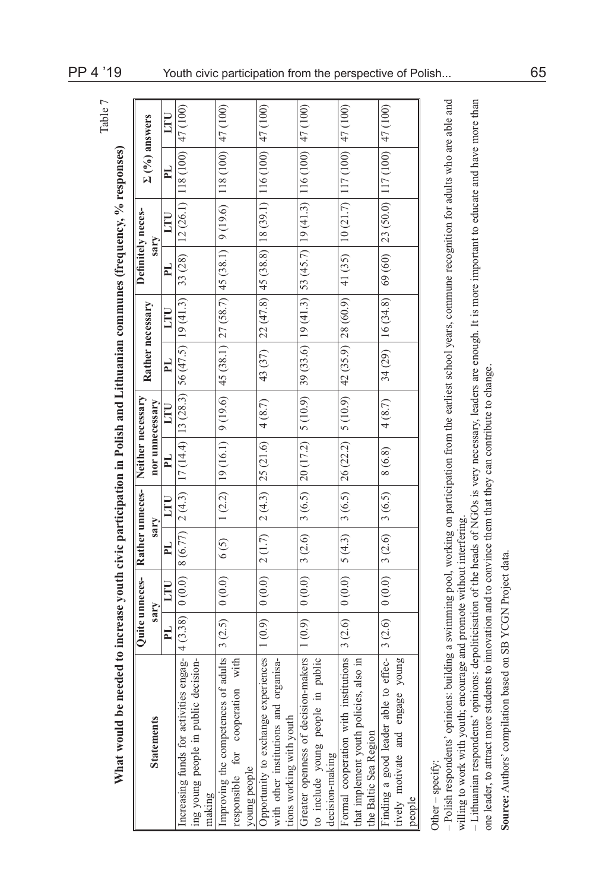| <b>Statements</b>                                                       | Quite unneces-<br>sary |       | Rather unneces-<br>sary |        | Neither necessary<br>nor unnecessary                  |        |          | Rather necessary                  | Definitely neces-<br>sary |     |                                                                                                                                                                                                                                                                           | $\Sigma(0/6)$ answers |
|-------------------------------------------------------------------------|------------------------|-------|-------------------------|--------|-------------------------------------------------------|--------|----------|-----------------------------------|---------------------------|-----|---------------------------------------------------------------------------------------------------------------------------------------------------------------------------------------------------------------------------------------------------------------------------|-----------------------|
|                                                                         | E,                     | LTU   | <b>E</b>                | LTU    | <b>FI</b>                                             | LTU    | <b>E</b> | LTU                               | <b>FI</b>                 | LTU | E,                                                                                                                                                                                                                                                                        | LTU                   |
| Increasing funds for activities engag-                                  | $4(3.38)$ 0 (0.0)      |       |                         |        | $ 8(6.77) 2(4.3) 17(14.4) 13(28.3) 56(47.5) 19(41.3)$ |        |          |                                   | 33 (28)                   |     | $\left  12(26.1) \right  118(100)$                                                                                                                                                                                                                                        | 47 (100)              |
| ing young people in public decision-<br>making                          |                        |       |                         |        |                                                       |        |          |                                   |                           |     |                                                                                                                                                                                                                                                                           |                       |
| Improving the competences of adults<br>responsible for cooperation with | $3(2.5)$ 0 (0.0)       |       | (5)                     |        |                                                       |        |          |                                   |                           |     | $1(2.2)   19(16.1)   9(16.1)   9(19.6)   45(38.7)   27(58.7)   45(38.1)   9(19.6)   47(00)   47(00)   48(0)   49(0)   49(0)   40(0)   41(0)   42(0)   46(0)   47(0)   48(0)   49(0)   40(0)   40(0)   41(0)   40(0)   40(0)   41(0)   40(0)   41(0)   42($                |                       |
| young people                                                            |                        |       |                         |        |                                                       |        |          |                                   |                           |     |                                                                                                                                                                                                                                                                           |                       |
| Opportunity to exchange experiences                                     |                        |       |                         |        | $1(0.9)   0(0.0)   2(1.7)   2(4.3)   25(21.6)$        | 4(8.7) |          |                                   |                           |     | 43 (37) $\mid$ 22 (47.8) $\mid$ 45 (38.8) $\mid$ 18 (39.1) $\mid$ 116 (100) $\mid$ 47 (100)                                                                                                                                                                               |                       |
| with other institutions and organisa-<br>tions working with youth       |                        |       |                         |        |                                                       |        |          |                                   |                           |     |                                                                                                                                                                                                                                                                           |                       |
| Greater openness of decision-makers                                     | (0.9)                  |       |                         |        |                                                       |        |          |                                   |                           |     | $\frac{1}{200}$ (100) $\frac{1}{200}$ (0.0) $\frac{1}{200}$ (0.5) $\frac{1}{200}$ (1.72) $\frac{1}{200}$ (1.72) $\frac{1}{200}$ (1.72) $\frac{1}{200}$ (1.72) $\frac{1}{200}$ (1.72) $\frac{1}{200}$ (1.72) $\frac{1}{200}$ (1.72) $\frac{1}{200}$ (1.72) $\frac{1}{200}$ |                       |
| to include young people in public                                       |                        |       |                         |        |                                                       |        |          |                                   |                           |     |                                                                                                                                                                                                                                                                           |                       |
| decision-making                                                         |                        |       |                         |        |                                                       |        |          |                                   |                           |     |                                                                                                                                                                                                                                                                           |                       |
| Formal cooperation with institutions                                    | 3(2.6)                 | (0.0) | 5(4.3)                  |        | $3(6.5)$ 26 (22.2)                                    |        |          | $5(10.9)$ $ 42(35.9)$ $ 28(60.9)$ |                           |     | 41 (35) $\mid$ 10 (21.7) $\mid$ 117 (100) $\mid$                                                                                                                                                                                                                          | 47 (100)              |
| that implement youth policies, also in                                  |                        |       |                         |        |                                                       |        |          |                                   |                           |     |                                                                                                                                                                                                                                                                           |                       |
| the Baltic Sea Region                                                   |                        |       |                         |        |                                                       |        |          |                                   |                           |     |                                                                                                                                                                                                                                                                           |                       |
| Finding a good leader able to effec-                                    | 3(2.6)                 | (0.0) | 3(2.6)                  | 3(6.5) | 8 (6.8)                                               | 4(8.7) | 34 (29)  | 16(34.8)                          |                           |     | 69 (60) $\mid$ 23 (50.0) $\mid$ 117 (100) $\mid$ 47 (100)                                                                                                                                                                                                                 |                       |
| tively motivate and engage young                                        |                        |       |                         |        |                                                       |        |          |                                   |                           |     |                                                                                                                                                                                                                                                                           |                       |
| people                                                                  |                        |       |                         |        |                                                       |        |          |                                   |                           |     |                                                                                                                                                                                                                                                                           |                       |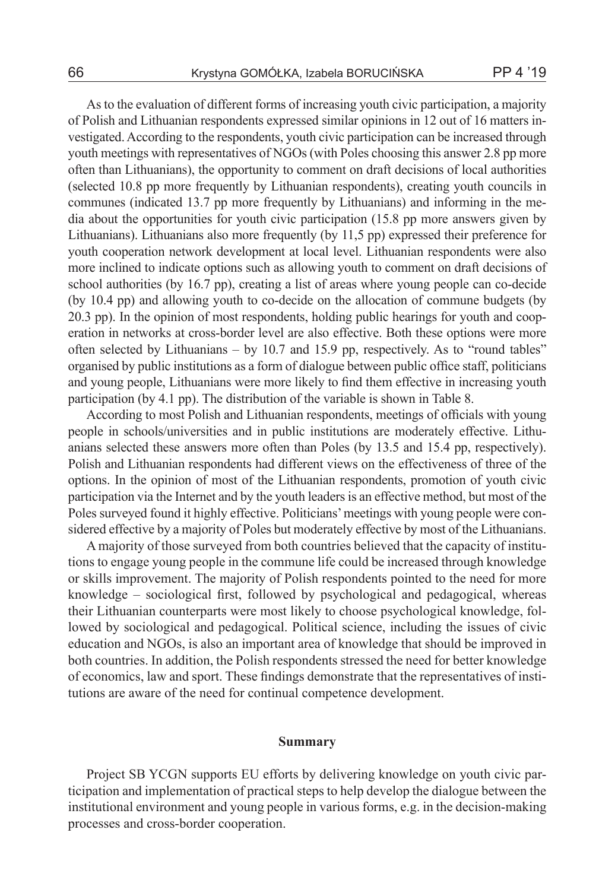As to the evaluation of different forms of increasing youth civic participation, a majority of Polish and Lithuanian respondents expressed similar opinions in 12 out of 16 matters investigated. According to the respondents, youth civic participation can be increased through youth meetings with representatives of NGOs (with Poles choosing this answer 2.8 pp more often than Lithuanians), the opportunity to comment on draft decisions of local authorities (selected 10.8 pp more frequently by Lithuanian respondents), creating youth councils in communes (indicated 13.7 pp more frequently by Lithuanians) and informing in the media about the opportunities for youth civic participation (15.8 pp more answers given by Lithuanians). Lithuanians also more frequently (by 11,5 pp) expressed their preference for youth cooperation network development at local level. Lithuanian respondents were also more inclined to indicate options such as allowing youth to comment on draft decisions of school authorities (by 16.7 pp), creating a list of areas where young people can co-decide (by 10.4 pp) and allowing youth to co-decide on the allocation of commune budgets (by 20.3 pp). In the opinion of most respondents, holding public hearings for youth and cooperation in networks at cross-border level are also effective. Both these options were more often selected by Lithuanians – by 10.7 and 15.9 pp, respectively. As to "round tables" organised by public institutions as a form of dialogue between public office staff, politicians and young people, Lithuanians were more likely to find them effective in increasing youth participation (by 4.1 pp). The distribution of the variable is shown in Table 8.

According to most Polish and Lithuanian respondents, meetings of officials with young people in schools/universities and in public institutions are moderately effective. Lithuanians selected these answers more often than Poles (by 13.5 and 15.4 pp, respectively). Polish and Lithuanian respondents had different views on the effectiveness of three of the options. In the opinion of most of the Lithuanian respondents, promotion of youth civic participation via the Internet and by the youth leaders is an effective method, but most of the Poles surveyed found it highly effective. Politicians' meetings with young people were considered effective by a majority of Poles but moderately effective by most of the Lithuanians.

A majority of those surveyed from both countries believed that the capacity of institutions to engage young people in the commune life could be increased through knowledge or skills improvement. The majority of Polish respondents pointed to the need for more knowledge – sociological first, followed by psychological and pedagogical, whereas their Lithuanian counterparts were most likely to choose psychological knowledge, followed by sociological and pedagogical. Political science, including the issues of civic education and NGOs, is also an important area of knowledge that should be improved in both countries. In addition, the Polish respondents stressed the need for better knowledge of economics, law and sport. These findings demonstrate that the representatives of institutions are aware of the need for continual competence development.

### **Summary**

Project SB YCGN supports EU efforts by delivering knowledge on youth civic participation and implementation of practical steps to help develop the dialogue between the institutional environment and young people in various forms, e.g. in the decision-making processes and cross-border cooperation.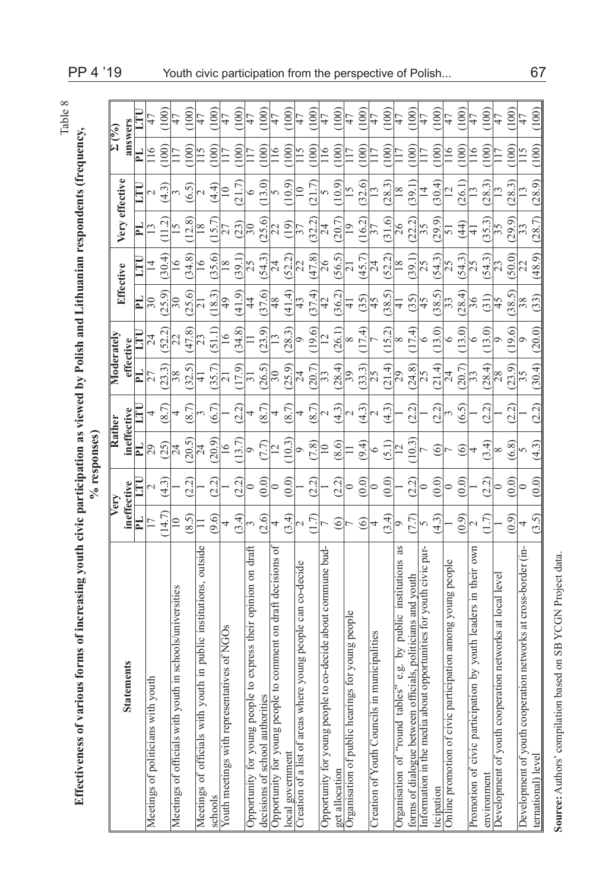| ۴<br>г |
|--------|
| U      |
| -      |
|        |

**Effectiveness of various forms of increasing youth civic participation as viewed by Polish and Lithuanian respondents (frequency,**

Effectiveness of various forms of increasing youth civic participation as viewed by Polish and Lithuanian respondents (frequency,

|                                                                       |                |                           | % responses)    |                              |                 |                 |                          |                 |                        |                  |                          |       |
|-----------------------------------------------------------------------|----------------|---------------------------|-----------------|------------------------------|-----------------|-----------------|--------------------------|-----------------|------------------------|------------------|--------------------------|-------|
|                                                                       |                | Verv                      | Rather          |                              | Moderately      |                 |                          | Effective       |                        | Very effective   | $\Sigma^{(0)\prime}_{0}$ |       |
| ain<br><b>Stateme</b>                                                 |                | ineffective               | ineffective     |                              | effective       |                 |                          |                 |                        |                  | answers                  |       |
|                                                                       | PL.            | $\Xi$                     | PL.             |                              | E               | Ξ               | PL.                      | E               | E                      | E                | E                        |       |
| Meetings of politicians with youth                                    |                | $\mathcal{L}$             | 29              | 4                            | 27              | 24              | $\Im 0$                  | $\overline{4}$  |                        | $\mathrel{\sim}$ | $\frac{6}{1}$            | 47    |
|                                                                       | (14.7)         | (4.3)                     | (25)            | $\infty$                     | (23.3)          | (52.2)          | (25.9)                   | (30.4)          |                        | (4.3)            | (001)                    | 100   |
| schools/universities<br>Meetings of officials with youth in           | $\approx$      |                           | 24              | 4                            | 38              | 22              | $\overline{30}$          | $\overline{16}$ | $\overline{6}$         | 3                | 117                      | 47    |
|                                                                       | (58)           | (2.2)                     | (5)             | F<br>$\overline{\infty}$     | (32.5)          | (47.8)          | (25.6)                   | (34.8)          | ∞<br>$\overline{12}$ . | 65)              | 100                      | (100) |
| in public institutions, outside<br>Meetings of officials with youth   |                |                           | 24              |                              | ₹               | 23              | ಸ                        | $\overline{6}$  | $\frac{8}{2}$          |                  | $\frac{15}{1}$           | 47    |
| schools                                                               | (9.6)          | (2.2)                     | (6.02)          | (6.7)                        | (35.7)          | (51.1)          | (18.3)                   | (35.6)          | $15$ .                 | $\overline{44}$  | 100                      | 100   |
| Youth meetings with representatives of NGOs                           | 4              |                           | $\overline{16}$ |                              | $\sim$          | $\overline{16}$ | $^{49}$                  | $\frac{8}{18}$  |                        | $\approx$        |                          | 47    |
|                                                                       | (3.4)          | (2.2)                     | 13.7            | (2.2)                        | 17.9)           | (34.8)          | (41.9)                   | (39.1)          | (23)                   | Γ                | 100                      | 100   |
| express their opinion on draft<br>Opportunity for young people to     |                | 0                         | ᡋ               |                              | $\frac{1}{2}$   |                 | $\overline{4}$           | 25              | $\overline{30}$        | ∘                |                          | 47    |
| decisions of school authorities                                       | (2.6)          | $\widehat{0.0}$           | 7.7             | Í,<br>$\approx$              | (26.5)          | (23.9)          | (37.6)                   | (54.3)          | (25.6)                 | (3.0)            | 100                      | 100   |
| omment on draft decisions of<br>Opportunity for young people to c     | 4              | 0                         |                 | 4                            | $\overline{50}$ |                 | 48                       | 24              | $\overline{22}$        |                  | $\overline{16}$          | 47    |
| local government                                                      | (3.4)          | $\odot$                   | 10.3            | (8.7)                        | (25.9)          | (28.3)          | (41.4)                   | (52.2)          | (61)                   | (6.01)           | $\sim 100$               | 100   |
| Creation of a list of areas where young people can co-decide          |                |                           | $\circ$         | 4                            | $\overline{24}$ |                 | 43                       | $\overline{22}$ |                        |                  |                          | 47    |
|                                                                       | $\tilde{\tau}$ | $\widetilde{\mathcal{L}}$ | (8.7)           | Ļ<br>$\approx$               | (20.7)          | (19.6)          | (37.4)                   | (47.8)          | (32.2)                 |                  | 100                      | 100)  |
| -decide about commune bud-<br>Opportunity for young people to co      |                |                           | $\supseteq$     | N                            | 33              |                 | 42                       | 26              | $\overline{24}$        |                  | $\frac{6}{1}$            | 47    |
| get allocation                                                        | ⊙              | (2.2)                     | (8.6)           | (4.3)                        | 28.4            | (26.1)          | (36.2)                   | (56.5)          | (20.7)                 | (6.01)           | $\approx 100$            | 100   |
| young people<br>Organisation of public hearings for                   |                | 0                         |                 | N                            | $\overline{39}$ | ∞               | $\exists$                | $\bar{\sim}$    | ⊵                      |                  |                          | 47    |
|                                                                       | ල              | (0.0)                     | (9.4)           | (4.3)                        | (33.3)          | (1.4)           | (35)                     | (45.7)          | (16.2)                 | 32.6             | 100                      | 100   |
| Creation of Youth Councils in municipalities                          | 4              | 0                         | ٥               |                              | 25              |                 | 45                       | 24              | 37                     |                  |                          | 47    |
|                                                                       | ر<br>3.4       | $\widehat{\odot}$         | $\overline{15}$ | $\widetilde{4\cdot3}$        | (21.4)          | (15.2)          | (38.5)                   | (52.2)          | (31.6)                 | (28.3)           | $\approx$                | 100   |
| as<br>.g. by public institutions<br>Organisation of "round tables"    | ⌒              |                           | $\overline{C}$  |                              | $\overline{29}$ | ∞               | $\exists$                | $\frac{8}{18}$  | 26                     | $\frac{8}{10}$   |                          | 47    |
| forms of dialogue between officials, politicians and youth            | 7.7            | <u>ีว3</u>                | 10.3            | (2.2)                        | (24.8)          | (17.4)          | (35)                     | (1,65)          | (22.2)                 | 39.1             | 100                      | 100   |
| ortunities for youth civic par-<br>Information in the media about opp | $\Omega$       | ⊃                         |                 |                              | 25              | $\circ$         | 45                       | 25              | 35                     | $\vec{r}$        |                          | 47    |
| ticipation                                                            | $\frac{3}{4}$  | $\odot$                   | $\circledcirc$  | (2.2)                        | (21.4)          | (13.0)          | (38.5)                   | (54.3)          | (6.62)                 | (30.4)           | 100                      | 100   |
| Online promotion of civic participation among young people            |                | 0                         |                 |                              | 24              | ٥               | $\overline{\mathcal{E}}$ | $\overline{25}$ | 5                      | $\overline{2}$   | $\frac{6}{1}$            | 47    |
|                                                                       | $\odot$        | $\widehat{\odot}$         | $\circledcirc$  | 65)                          | (20.7)          | (13.0)          | (28.4)                   | (54.3)          | $\overline{4}$         | (26.1)           | 100                      | 100   |
| by youth leaders in their own<br>Promotion of civic participation b   |                |                           | 4               |                              | 33              | ٥               | 36                       | $\overline{25}$ | ₹                      | $\frac{3}{2}$    | $\frac{6}{1}$            | 47    |
| environment                                                           | Ļ.             | 2.2)                      | (3.4)           | $\widetilde{\sim}$<br>$\sim$ | (28.4)          | (13.0)          | (31)                     | (54.3)          | (35.3)                 | (28.3)           | 100                      | 100   |
| Development of youth cooperation networks at local level              |                | ⋍                         | ∞               |                              | 28              | ᡋ               | 45                       | 23              | 35                     | $\frac{3}{2}$    | 117                      | 47    |
|                                                                       | (0.9)          | (0.0)                     | (6.8)           | (2.2)                        | (23.9)          | (19.6)          | (38.5)                   | (50.0)          | (29.9)                 | (28.3)           | (100)                    | (100) |
| Development of youth cooperation networks at cross-border (in-        | 4              | ∊                         | 5               |                              | $\overline{35}$ | ᢦ               | 38                       | $\overline{22}$ | 33                     |                  | $\overline{15}$          | 47    |
| ternational) level                                                    | (3.5)          | (0.0)                     | (4.3)           | $\tilde{\sim}$<br>$\bar{c}$  | (30.4)          | (20.0)          | (33)                     | (48.9)          | F<br>(28)              | (28.9)           | (100)                    | (100) |

Source: Authors' compilation based on SB YCGN Project data. **Source:** Authors' compilation based on SB YCGN Project data.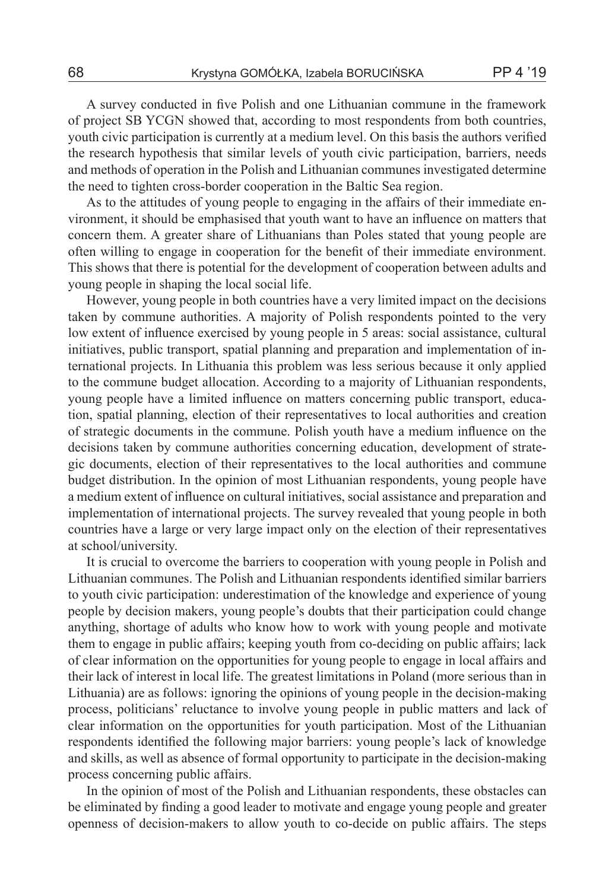A survey conducted in five Polish and one Lithuanian commune in the framework of project SB YCGN showed that, according to most respondents from both countries, youth civic participation is currently at a medium level. On this basis the authors verified the research hypothesis that similar levels of youth civic participation, barriers, needs and methods of operation in the Polish and Lithuanian communes investigated determine the need to tighten cross-border cooperation in the Baltic Sea region.

As to the attitudes of young people to engaging in the affairs of their immediate environment, it should be emphasised that youth want to have an influence on matters that concern them. A greater share of Lithuanians than Poles stated that young people are often willing to engage in cooperation for the benefit of their immediate environment. This shows that there is potential for the development of cooperation between adults and young people in shaping the local social life.

However, young people in both countries have a very limited impact on the decisions taken by commune authorities. A majority of Polish respondents pointed to the very low extent of influence exercised by young people in 5 areas: social assistance, cultural initiatives, public transport, spatial planning and preparation and implementation of international projects. In Lithuania this problem was less serious because it only applied to the commune budget allocation. According to a majority of Lithuanian respondents, young people have a limited influence on matters concerning public transport, education, spatial planning, election of their representatives to local authorities and creation of strategic documents in the commune. Polish youth have a medium influence on the decisions taken by commune authorities concerning education, development of strategic documents, election of their representatives to the local authorities and commune budget distribution. In the opinion of most Lithuanian respondents, young people have a medium extent of influence on cultural initiatives, social assistance and preparation and implementation of international projects. The survey revealed that young people in both countries have a large or very large impact only on the election of their representatives at school/university.

It is crucial to overcome the barriers to cooperation with young people in Polish and Lithuanian communes. The Polish and Lithuanian respondents identified similar barriers to youth civic participation: underestimation of the knowledge and experience of young people by decision makers, young people's doubts that their participation could change anything, shortage of adults who know how to work with young people and motivate them to engage in public affairs; keeping youth from co-deciding on public affairs; lack of clear information on the opportunities for young people to engage in local affairs and their lack of interest in local life. The greatest limitations in Poland (more serious than in Lithuania) are as follows: ignoring the opinions of young people in the decision-making process, politicians' reluctance to involve young people in public matters and lack of clear information on the opportunities for youth participation. Most of the Lithuanian respondents identified the following major barriers: young people's lack of knowledge and skills, as well as absence of formal opportunity to participate in the decision-making process concerning public affairs.

In the opinion of most of the Polish and Lithuanian respondents, these obstacles can be eliminated by finding a good leader to motivate and engage young people and greater openness of decision-makers to allow youth to co-decide on public affairs. The steps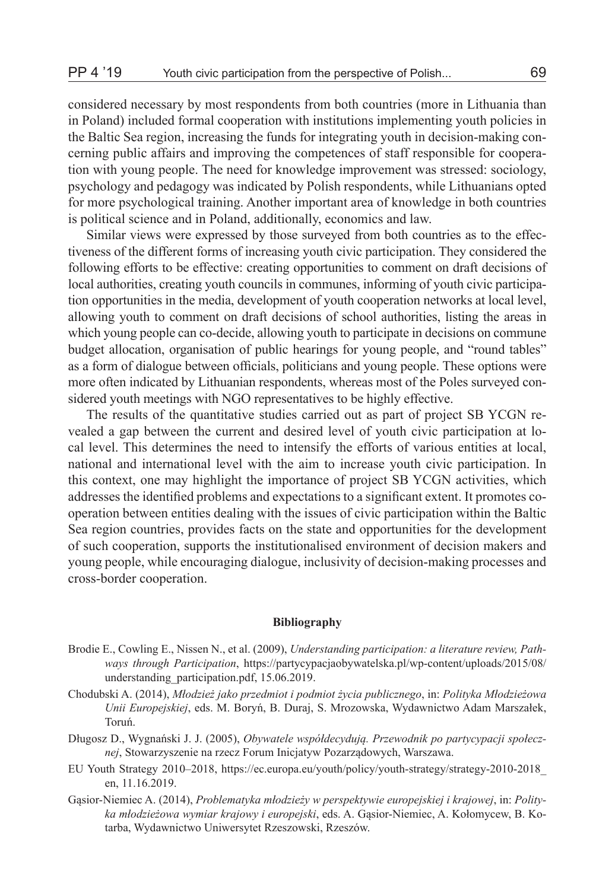considered necessary by most respondents from both countries (more in Lithuania than in Poland) included formal cooperation with institutions implementing youth policies in the Baltic Sea region, increasing the funds for integrating youth in decision-making concerning public affairs and improving the competences of staff responsible for cooperation with young people. The need for knowledge improvement was stressed: sociology, psychology and pedagogy was indicated by Polish respondents, while Lithuanians opted for more psychological training. Another important area of knowledge in both countries is political science and in Poland, additionally, economics and law.

Similar views were expressed by those surveyed from both countries as to the effectiveness of the different forms of increasing youth civic participation. They considered the following efforts to be effective: creating opportunities to comment on draft decisions of local authorities, creating youth councils in communes, informing of youth civic participation opportunities in the media, development of youth cooperation networks at local level, allowing youth to comment on draft decisions of school authorities, listing the areas in which young people can co-decide, allowing youth to participate in decisions on commune budget allocation, organisation of public hearings for young people, and "round tables" as a form of dialogue between officials, politicians and young people. These options were more often indicated by Lithuanian respondents, whereas most of the Poles surveyed considered youth meetings with NGO representatives to be highly effective.

The results of the quantitative studies carried out as part of project SB YCGN revealed a gap between the current and desired level of youth civic participation at local level. This determines the need to intensify the efforts of various entities at local, national and international level with the aim to increase youth civic participation. In this context, one may highlight the importance of project SB YCGN activities, which addresses the identified problems and expectations to a significant extent. It promotes cooperation between entities dealing with the issues of civic participation within the Baltic Sea region countries, provides facts on the state and opportunities for the development of such cooperation, supports the institutionalised environment of decision makers and young people, while encouraging dialogue, inclusivity of decision-making processes and cross-border cooperation.

#### **Bibliography**

- Brodie E., Cowling E., Nissen N., et al. (2009), *Understanding participation: a literature review, Pathways through Participation*, https://partycypacjaobywatelska.pl/wp-content/uploads/2015/08/ understanding\_participation.pdf, 15.06.2019.
- Chodubski A. (2014), *Młodzież jako przedmiot i podmiot życia publicznego*, in: *Polityka Młodzieżowa Unii Europejskiej*, eds. M. Boryń, B. Duraj, S. Mrozowska, Wydawnictwo Adam Marszałek, Toruń.
- Długosz D., Wygnański J. J. (2005), *Obywatele współdecydują. Przewodnik po partycypacji społecznej*, Stowarzyszenie na rzecz Forum Inicjatyw Pozarządowych, Warszawa.
- EU Youth Strategy 2010–2018, https://ec.europa.eu/youth/policy/youth-strategy/strategy-2010-2018\_ en, 11.16.2019.
- Gąsior-Niemiec A. (2014), *Problematyka młodzieży w perspektywie europejskiej i krajowej*, in: *Polityka młodzieżowa wymiar krajowy i europejski*, eds. A. Gąsior-Niemiec, A. Kołomycew, B. Kotarba, Wydawnictwo Uniwersytet Rzeszowski, Rzeszów.